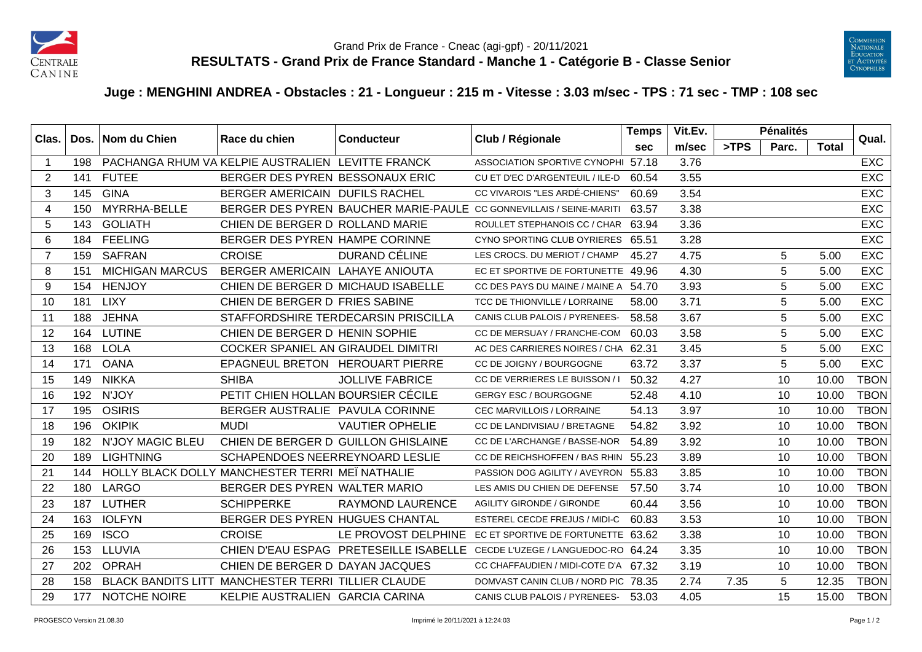



## **Juge : MENGHINI ANDREA - Obstacles : 21 - Longueur : 215 m - Vitesse : 3.03 m/sec - TPS : 71 sec - TMP : 108 sec**

| Clas.          |     | Dos.   Nom du Chien     | Race du chien                                      | <b>Conducteur</b>                   | Club / Régionale                                                          | <b>Temps</b> | Vit.Ev. |      | <b>Pénalités</b> |              | Qual.       |
|----------------|-----|-------------------------|----------------------------------------------------|-------------------------------------|---------------------------------------------------------------------------|--------------|---------|------|------------------|--------------|-------------|
|                |     |                         |                                                    |                                     |                                                                           | <b>sec</b>   | m/sec   | >TPS | Parc.            | <b>Total</b> |             |
| -1             | 198 |                         | PACHANGA RHUM VA KELPIE AUSTRALIEN LEVITTE FRANCK  |                                     | ASSOCIATION SPORTIVE CYNOPHI 57.18                                        |              | 3.76    |      |                  |              | <b>EXC</b>  |
| 2              | 141 | <b>FUTEE</b>            | BERGER DES PYREN BESSONAUX ERIC                    |                                     | CU ET D'EC D'ARGENTEUIL / ILE-D                                           | 60.54        | 3.55    |      |                  |              | <b>EXC</b>  |
| 3              | 145 | <b>GINA</b>             | BERGER AMERICAIN DUFILS RACHEL                     |                                     | CC VIVAROIS "LES ARDÉ-CHIENS"                                             | 60.69        | 3.54    |      |                  |              | <b>EXC</b>  |
| 4              | 150 | MYRRHA-BELLE            |                                                    |                                     | BERGER DES PYREN BAUCHER MARIE-PAULE CC GONNEVILLAIS / SEINE-MARITI       | 63.57        | 3.38    |      |                  |              | <b>EXC</b>  |
| 5              | 143 | <b>GOLIATH</b>          | CHIEN DE BERGER D ROLLAND MARIE                    |                                     | ROULLET STEPHANOIS CC / CHAR                                              | 63.94        | 3.36    |      |                  |              | <b>EXC</b>  |
| 6              | 184 | <b>FEELING</b>          | BERGER DES PYREN HAMPE CORINNE                     |                                     | CYNO SPORTING CLUB OYRIERES                                               | 65.51        | 3.28    |      |                  |              | <b>EXC</b>  |
| $\overline{7}$ | 159 | <b>SAFRAN</b>           | <b>CROISE</b>                                      | DURAND CÉLINE                       | LES CROCS. DU MERIOT / CHAMP                                              | 45.27        | 4.75    |      | 5                | 5.00         | <b>EXC</b>  |
| 8              | 151 | <b>MICHIGAN MARCUS</b>  | BERGER AMERICAIN LAHAYE ANIOUTA                    |                                     | EC ET SPORTIVE DE FORTUNETTE 49.96                                        |              | 4.30    |      | 5                | 5.00         | <b>EXC</b>  |
| 9              | 154 | <b>HENJOY</b>           | CHIEN DE BERGER D MICHAUD ISABELLE                 |                                     | CC DES PAYS DU MAINE / MAINE A 54.70                                      |              | 3.93    |      | 5                | 5.00         | <b>EXC</b>  |
| 10             | 181 | <b>LIXY</b>             | CHIEN DE BERGER D FRIES SABINE                     |                                     | TCC DE THIONVILLE / LORRAINE                                              | 58.00        | 3.71    |      | 5                | 5.00         | <b>EXC</b>  |
| 11             | 188 | <b>JEHNA</b>            |                                                    | STAFFORDSHIRE TERDECARSIN PRISCILLA | CANIS CLUB PALOIS / PYRENEES-                                             | 58.58        | 3.67    |      | $\sqrt{5}$       | 5.00         | <b>EXC</b>  |
| 12             | 164 | <b>LUTINE</b>           | CHIEN DE BERGER D HENIN SOPHIE                     |                                     | CC DE MERSUAY / FRANCHE-COM                                               | 60.03        | 3.58    |      | 5                | 5.00         | <b>EXC</b>  |
| 13             | 168 | <b>LOLA</b>             | COCKER SPANIEL AN GIRAUDEL DIMITRI                 |                                     | AC DES CARRIERES NOIRES / CHA                                             | 62.31        | 3.45    |      | 5                | 5.00         | <b>EXC</b>  |
| 14             | 171 | <b>OANA</b>             | EPAGNEUL BRETON HEROUART PIERRE                    |                                     | CC DE JOIGNY / BOURGOGNE                                                  | 63.72        | 3.37    |      | 5                | 5.00         | <b>EXC</b>  |
| 15             | 149 | <b>NIKKA</b>            | <b>SHIBA</b>                                       | <b>JOLLIVE FABRICE</b>              | CC DE VERRIERES LE BUISSON / I                                            | 50.32        | 4.27    |      | 10               | 10.00        | <b>TBON</b> |
| 16             | 192 | N'JOY                   | PETIT CHIEN HOLLAN BOURSIER CÉCILE                 |                                     | <b>GERGY ESC / BOURGOGNE</b>                                              | 52.48        | 4.10    |      | 10               | 10.00        | <b>TBON</b> |
| 17             | 195 | <b>OSIRIS</b>           | BERGER AUSTRALIE PAVULA CORINNE                    |                                     | CEC MARVILLOIS / LORRAINE                                                 | 54.13        | 3.97    |      | 10               | 10.00        | <b>TBON</b> |
| 18             | 196 | <b>OKIPIK</b>           | <b>MUDI</b>                                        | <b>VAUTIER OPHELIE</b>              | CC DE LANDIVISIAU / BRETAGNE                                              | 54.82        | 3.92    |      | 10               | 10.00        | <b>TBON</b> |
| 19             | 182 | <b>N'JOY MAGIC BLEU</b> |                                                    | CHIEN DE BERGER D GUILLON GHISLAINE | CC DE L'ARCHANGE / BASSE-NOR                                              | 54.89        | 3.92    |      | 10               | 10.00        | <b>TBON</b> |
| 20             | 189 | <b>LIGHTNING</b>        | SCHAPENDOES NEERREYNOARD LESLIE                    |                                     | CC DE REICHSHOFFEN / BAS RHIN                                             | 55.23        | 3.89    |      | 10               | 10.00        | <b>TBON</b> |
| 21             | 144 |                         | HOLLY BLACK DOLLY MANCHESTER TERRI MEI NATHALIE    |                                     | PASSION DOG AGILITY / AVEYRON 55.83                                       |              | 3.85    |      | 10               | 10.00        | <b>TBON</b> |
| 22             | 180 | <b>LARGO</b>            | BERGER DES PYREN WALTER MARIO                      |                                     | LES AMIS DU CHIEN DE DEFENSE                                              | 57.50        | 3.74    |      | 10               | 10.00        | <b>TBON</b> |
| 23             | 187 | <b>LUTHER</b>           | <b>SCHIPPERKE</b>                                  | <b>RAYMOND LAURENCE</b>             | <b>AGILITY GIRONDE / GIRONDE</b>                                          | 60.44        | 3.56    |      | 10               | 10.00        | <b>TBON</b> |
| 24             | 163 | <b>IOLFYN</b>           | BERGER DES PYREN HUGUES CHANTAL                    |                                     | <b>ESTEREL CECDE FREJUS / MIDI-C</b>                                      | 60.83        | 3.53    |      | 10               | 10.00        | TBON        |
| 25             | 169 | <b>ISCO</b>             | <b>CROISE</b>                                      | LE PROVOST DELPHINE                 | EC ET SPORTIVE DE FORTUNETTE 63.62                                        |              | 3.38    |      | 10               | 10.00        | <b>TBON</b> |
| 26             | 153 | LLUVIA                  |                                                    |                                     | CHIEN D'EAU ESPAG PRETESEILLE ISABELLE CECDE L'UZEGE / LANGUEDOC-RO 64.24 |              | 3.35    |      | 10               | 10.00        | <b>TBON</b> |
| 27             | 202 | <b>OPRAH</b>            | CHIEN DE BERGER D DAYAN JACQUES                    |                                     | CC CHAFFAUDIEN / MIDI-COTE D'A 67.32                                      |              | 3.19    |      | 10               | 10.00        | <b>TBON</b> |
| 28             | 158 |                         | BLACK BANDITS LITT MANCHESTER TERRI TILLIER CLAUDE |                                     | DOMVAST CANIN CLUB / NORD PIC 78.35                                       |              | 2.74    | 7.35 | 5                | 12.35        | <b>TBON</b> |
| 29             | 177 | <b>NOTCHE NOIRE</b>     | KELPIE AUSTRALIEN GARCIA CARINA                    |                                     | CANIS CLUB PALOIS / PYRENEES- 53.03                                       |              | 4.05    |      | 15               | 15.00        | <b>TBON</b> |